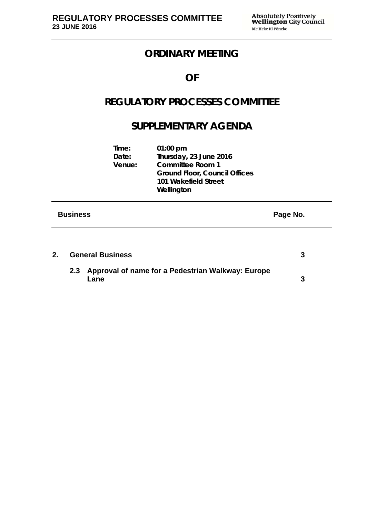**Time: 01:00 pm** 

## **ORDINARY MEETING**

## **OF**

## **REGULATORY PROCESSES COMMITTEE**

## **SUPPLEMENTARY AGENDA**

| <b>Business</b> |                 |                                                                                                                                 | Page No. |
|-----------------|-----------------|---------------------------------------------------------------------------------------------------------------------------------|----------|
|                 | Date:<br>Venue: | Thursday, 23 June 2016<br><b>Committee Room 1</b><br><b>Ground Floor, Council Offices</b><br>101 Wakefield Street<br>Wellington |          |

| 2. | <b>General Business</b> |                                                               |  |
|----|-------------------------|---------------------------------------------------------------|--|
|    |                         | 2.3 Approval of name for a Pedestrian Walkway: Europe<br>Lane |  |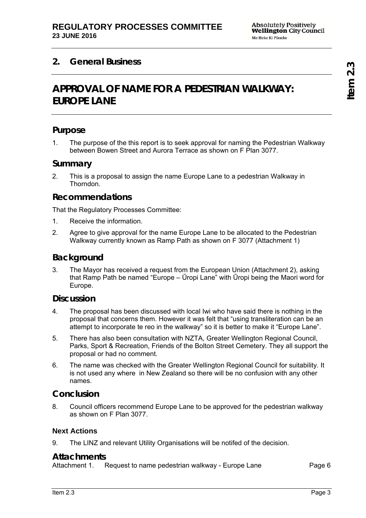## **2. General Business**

## **APPROVAL OF NAME FOR A PEDESTRIAN WALKWAY: EUROPE LANE**

### **Purpose**

1. The purpose of the this report is to seek approval for naming the Pedestrian Walkway between Bowen Street and Aurora Terrace as shown on F Plan 3077.

#### **Summary**

2. This is a proposal to assign the name Europe Lane to a pedestrian Walkway in **Thorndon** 

### **Recommendations**

That the Regulatory Processes Committee:

- 1. Receive the information.
- 2. Agree to give approval for the name Europe Lane to be allocated to the Pedestrian Walkway currently known as Ramp Path as shown on F 3077 (Attachment 1)

### **Background**

3. The Mayor has received a request from the European Union (Attachment 2), asking that Ramp Path be named "Europe – Ūropi Lane" with Ūropi being the Maori word for Europe.

#### **Discussion**

- 4. The proposal has been discussed with local Iwi who have said there is nothing in the proposal that concerns them. However it was felt that "using transliteration can be an attempt to incorporate te reo in the walkway" so it is better to make it "Europe Lane".
- 5. There has also been consultation with NZTA, Greater Wellington Regional Council, Parks, Sport & Recreation, Friends of the Bolton Street Cemetery. They all support the proposal or had no comment.
- 6. The name was checked with the Greater Wellington Regional Council for suitability. It is not used any where in New Zealand so there will be no confusion with any other names.

### **Conclusion**

8. Council officers recommend Europe Lane to be approved for the pedestrian walkway as shown on F Plan 3077.

#### **Next Actions**

9. The LINZ and relevant Utility Organisations will be notifed of the decision.

#### **Attachments**

Attachment 1. Request to name pedestrian walkway - Europe Lane Page 6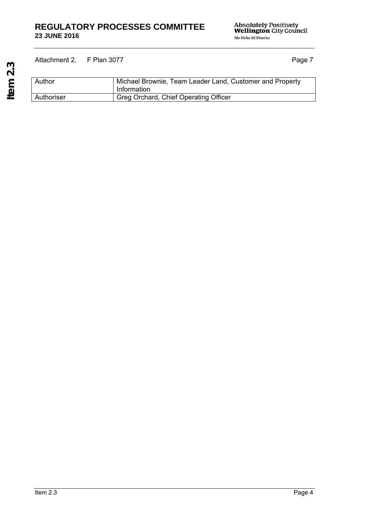#### **REGULATORY PROCESSES COMMITTEE 23 JUNE 2016**

Absolutely Positively<br>**Wellington** City Council Me Heke Ki Põneke

 **Item 2.3**  Item 2.3

### Attachment 2. F Plan 3077 Page 7

Author Michael Brownie, Team Leader Land, Customer and Property Information Authoriser Greg Orchard, Chief Operating Officer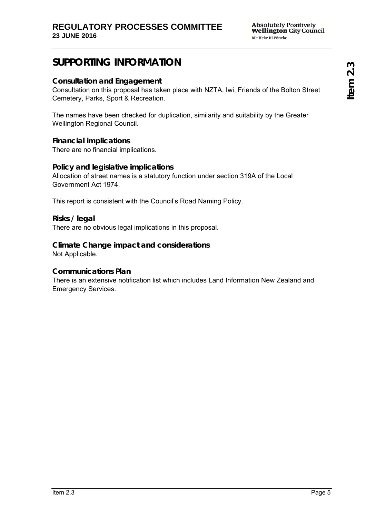## **SUPPORTING INFORMATION**

#### **Consultation and Engagement**

Consultation on this proposal has taken place with NZTA, Iwi, Friends of the Bolton Street Cemetery, Parks, Sport & Recreation.

The names have been checked for duplication, similarity and suitability by the Greater Wellington Regional Council.

#### **Financial implications**

There are no financial implications.

#### **Policy and legislative implications**

Allocation of street names is a statutory function under section 319A of the Local Government Act 1974.

This report is consistent with the Council's Road Naming Policy.

#### **Risks / legal**

There are no obvious legal implications in this proposal.

### **Climate Change impact and considerations**

Not Applicable.

#### **Communications Plan**

There is an extensive notification list which includes Land Information New Zealand and Emergency Services.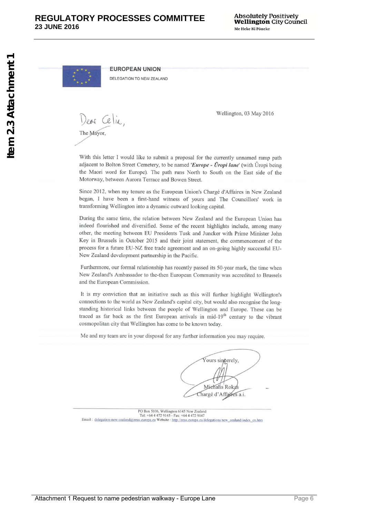**EUROPEAN UNION** 

DELEGATION TO NEW ZEALAND

Dear Celin The Mayor.

Wellington, 03 May 2016

With this letter I would like to submit a proposal for the currently unnamed ramp path adjacent to Bolton Street Cemetery, to be named 'Europe - Ūropi lane' (with Ūropi being the Maori word for Europe). The path runs North to South on the East side of the Motorway, between Aurora Terrace and Bowen Street.

Since 2012, when my tenure as the European Union's Chargé d'Affaires in New Zealand began, I have been a first-hand witness of yours and The Councillors' work in transforming Wellington into a dynamic outward looking capital.

During the same time, the relation between New Zealand and the European Union has indeed flourished and diversified. Some of the recent highlights include, among many other, the meeting between EU Presidents Tusk and Juncker with Prime Minister John Key in Brussels in October 2015 and their joint statement, the commencement of the process for a future EU-NZ free trade agreement and an on-going highly successful EU-New Zealand development partnership in the Pacific.

Furthermore, our formal relationship has recently passed its 50-year mark, the time when New Zealand's Ambassador to the-then European Community was accredited to Brussels and the European Commission.

It is my conviction that an initiative such as this will further highlight Wellington's connections to the world as New Zealand's capital city, but would also recognise the longstanding historical links between the people of Wellington and Europe. These can be traced as far back as the first European arrivals in mid-19<sup>th</sup> century to the vibrant cosmopolitan city that Wellington has come to be known today.

Me and my team are in your disposal for any further information you may require.

Yours sincerely, Miehalis Rokas Chargé d'Affaires a.i.

PO Box 5106, Wellington 6145 New Zealand<br>Tel: +64 4 472 9145 - Fax: +64 4 472 9147<br>Email : delegation-new-zealand@eeas.europa.eu Website : http://eeas.europa.eu/delegations/new\_zealand/index\_en.htm